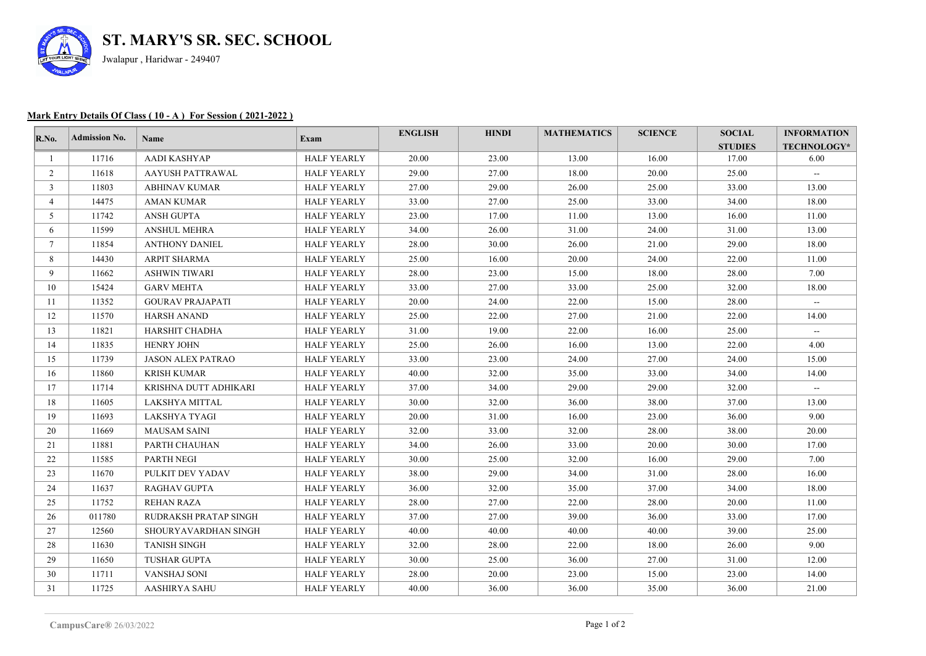

## **Mark Entry Details Of Class ( 10 - A ) For Session ( 2021-2022 )**

| $\mathbf{R}.\mathbf{No}$ . | Admission No. | Name                         | Exam               | <b>ENGLISH</b> | <b>HINDI</b> | <b>MATHEMATICS</b> | <b>SCIENCE</b> | <b>SOCIAL</b>  | <b>INFORMATION</b> |
|----------------------------|---------------|------------------------------|--------------------|----------------|--------------|--------------------|----------------|----------------|--------------------|
|                            |               |                              |                    |                |              |                    |                | <b>STUDIES</b> | TECHNOLOGY*        |
|                            | 11716         | AADI KASHYAP                 | <b>HALF YEARLY</b> | 20.00          | 23.00        | 13.00              | 16.00          | 17.00          | 6.00               |
| $\overline{2}$             | 11618         | AAYUSH PATTRAWAL             | <b>HALF YEARLY</b> | 29.00          | 27.00        | 18.00              | 20.00          | 25.00          | $\sim$ $-$         |
| $\mathbf{3}$               | 11803         | <b>ABHINAV KUMAR</b>         | <b>HALF YEARLY</b> | 27.00          | 29.00        | 26.00              | 25.00          | 33.00          | 13.00              |
| 4                          | 14475         | <b>AMAN KUMAR</b>            | <b>HALF YEARLY</b> | 33.00          | 27.00        | 25.00              | 33.00          | 34.00          | 18.00              |
| 5                          | 11742         | <b>ANSH GUPTA</b>            | <b>HALF YEARLY</b> | 23.00          | 17.00        | 11.00              | 13.00          | 16.00          | 11.00              |
| 6                          | 11599         | <b>ANSHUL MEHRA</b>          | <b>HALF YEARLY</b> | 34.00          | 26.00        | 31.00              | 24.00          | 31.00          | 13.00              |
| $\tau$                     | 11854         | <b>ANTHONY DANIEL</b>        | <b>HALF YEARLY</b> | 28.00          | 30.00        | 26.00              | 21.00          | 29.00          | 18.00              |
| 8                          | 14430         | ARPIT SHARMA                 | <b>HALF YEARLY</b> | 25.00          | 16.00        | 20.00              | 24.00          | 22.00          | 11.00              |
| 9                          | 11662         | <b>ASHWIN TIWARI</b>         | <b>HALF YEARLY</b> | 28.00          | 23.00        | 15.00              | 18.00          | 28.00          | 7.00               |
| 10                         | 15424         | <b>GARV MEHTA</b>            | <b>HALF YEARLY</b> | 33.00          | 27.00        | 33.00              | 25.00          | 32.00          | 18.00              |
| 11                         | 11352         | <b>GOURAV PRAJAPATI</b>      | <b>HALF YEARLY</b> | 20.00          | 24.00        | 22.00              | 15.00          | 28.00          | $\sim$             |
| 12                         | 11570         | <b>HARSH ANAND</b>           | <b>HALF YEARLY</b> | 25.00          | 22.00        | 27.00              | 21.00          | 22.00          | 14.00              |
| 13                         | 11821         | HARSHIT CHADHA               | <b>HALF YEARLY</b> | 31.00          | 19.00        | 22.00              | 16.00          | 25.00          | $\sim$ $-$         |
| 14                         | 11835         | <b>HENRY JOHN</b>            | <b>HALF YEARLY</b> | 25.00          | 26.00        | 16.00              | 13.00          | 22.00          | 4.00               |
| 15                         | 11739         | <b>JASON ALEX PATRAO</b>     | <b>HALF YEARLY</b> | 33.00          | 23.00        | 24.00              | 27.00          | 24.00          | 15.00              |
| 16                         | 11860         | <b>KRISH KUMAR</b>           | <b>HALF YEARLY</b> | 40.00          | 32.00        | 35.00              | 33.00          | 34.00          | 14.00              |
| 17                         | 11714         | KRISHNA DUTT ADHIKARI        | <b>HALF YEARLY</b> | 37.00          | 34.00        | 29.00              | 29.00          | 32.00          | $\sim$ $-$         |
| 18                         | 11605         | LAKSHYA MITTAL               | <b>HALF YEARLY</b> | 30.00          | 32.00        | 36.00              | 38.00          | 37.00          | 13.00              |
| 19                         | 11693         | LAKSHYA TYAGI                | <b>HALF YEARLY</b> | 20.00          | 31.00        | 16.00              | 23.00          | 36.00          | 9.00               |
| 20                         | 11669         | <b>MAUSAM SAINI</b>          | <b>HALF YEARLY</b> | 32.00          | 33.00        | 32.00              | 28.00          | 38.00          | 20.00              |
| 21                         | 11881         | PARTH CHAUHAN                | <b>HALF YEARLY</b> | 34.00          | 26.00        | 33.00              | 20.00          | 30.00          | 17.00              |
| 22                         | 11585         | <b>PARTH NEGI</b>            | <b>HALF YEARLY</b> | 30.00          | 25.00        | 32.00              | 16.00          | 29.00          | 7.00               |
| 23                         | 11670         | PULKIT DEV YADAV             | <b>HALF YEARLY</b> | 38.00          | 29.00        | 34.00              | 31.00          | 28.00          | 16.00              |
| 24                         | 11637         | <b>RAGHAV GUPTA</b>          | <b>HALF YEARLY</b> | 36.00          | 32.00        | 35.00              | 37.00          | 34.00          | 18.00              |
| 25                         | 11752         | REHAN RAZA                   | <b>HALF YEARLY</b> | 28.00          | 27.00        | 22.00              | 28.00          | 20.00          | 11.00              |
| 26                         | 011780        | <b>RUDRAKSH PRATAP SINGH</b> | <b>HALF YEARLY</b> | 37.00          | 27.00        | 39.00              | 36.00          | 33.00          | 17.00              |
| 27                         | 12560         | SHOURYAVARDHAN SINGH         | <b>HALF YEARLY</b> | 40.00          | 40.00        | 40.00              | 40.00          | 39.00          | 25.00              |
| 28                         | 11630         | <b>TANISH SINGH</b>          | <b>HALF YEARLY</b> | 32.00          | 28.00        | 22.00              | 18.00          | 26.00          | 9.00               |
| 29                         | 11650         | <b>TUSHAR GUPTA</b>          | <b>HALF YEARLY</b> | 30.00          | 25.00        | 36.00              | 27.00          | 31.00          | 12.00              |
| 30                         | 11711         | VANSHAJ SONI                 | <b>HALF YEARLY</b> | 28.00          | 20.00        | 23.00              | 15.00          | 23.00          | 14.00              |
| 31                         | 11725         | AASHIRYA SAHU                | <b>HALF YEARLY</b> | 40.00          | 36.00        | 36.00              | 35.00          | 36.00          | 21.00              |